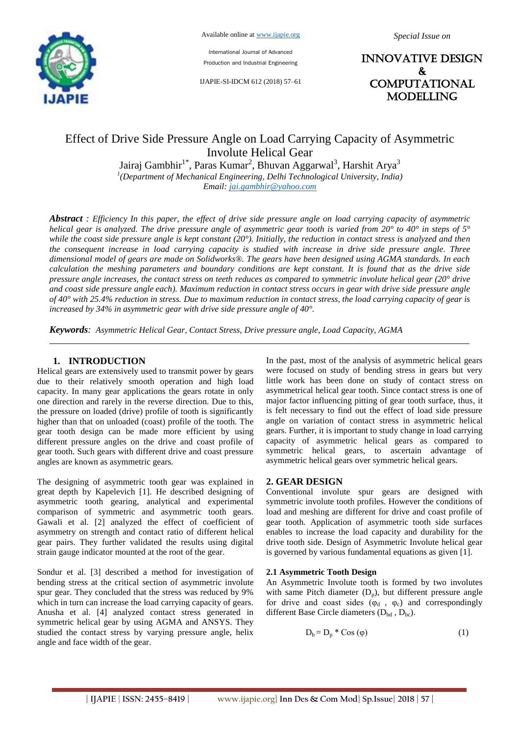

International Journal of Advanced Production and Industrial Engineering

IJAPIE-SI-IDCM 612 (2018) 57–61

INNOVATIVE DESIGN & **COMPUTATIONAL MODELLING** 

# Effect of Drive Side Pressure Angle on Load Carrying Capacity of Asymmetric Involute Helical Gear

Jairaj Gambhir<sup>1\*</sup>, Paras Kumar<sup>2</sup>, Bhuvan Aggarwal<sup>3</sup>, Harshit Arya<sup>3</sup> *1 (Department of Mechanical Engineering, Delhi Technological University, India) Email: jai.gambhir@yahoo.com*

*Abstract : Efficiency In this paper, the effect of drive side pressure angle on load carrying capacity of asymmetric helical gear is analyzed. The drive pressure angle of asymmetric gear tooth is varied from 20° to 40° in steps of 5° while the coast side pressure angle is kept constant (20°). Initially, the reduction in contact stress is analyzed and then the consequent increase in load carrying capacity is studied with increase in drive side pressure angle. Three dimensional model of gears are made on Solidworks®. The gears have been designed using AGMA standards. In each calculation the meshing parameters and boundary conditions are kept constant. It is found that as the drive side pressure angle increases, the contact stress on teeth reduces as compared to symmetric involute helical gear (20° drive and coast side pressure angle each). Maximum reduction in contact stress occurs in gear with drive side pressure angle of 40° with 25.4% reduction in stress. Due to maximum reduction in contact stress, the load carrying capacity of gear is increased by 34% in asymmetric gear with drive side pressure angle of 40°.*

*Keywords: Asymmetric Helical Gear, Contact Stress, Drive pressure angle, Load Capacity, AGMA*

#### **1. INTRODUCTION**

Helical gears are extensively used to transmit power by gears due to their relatively smooth operation and high load capacity. In many gear applications the gears rotate in only one direction and rarely in the reverse direction. Due to this, the pressure on loaded (drive) profile of tooth is significantly higher than that on unloaded (coast) profile of the tooth. The gear tooth design can be made more efficient by using different pressure angles on the drive and coast profile of gear tooth. Such gears with different drive and coast pressure angles are known as asymmetric gears.

The designing of asymmetric tooth gear was explained in great depth by Kapelevich [1]. He described designing of asymmetric tooth gearing, analytical and experimental comparison of symmetric and asymmetric tooth gears. Gawali et al. [2] analyzed the effect of coefficient of asymmetry on strength and contact ratio of different helical gear pairs. They further validated the results using digital strain gauge indicator mounted at the root of the gear.

Sondur et al. [3] described a method for investigation of bending stress at the critical section of asymmetric involute spur gear. They concluded that the stress was reduced by 9% which in turn can increase the load carrying capacity of gears. Anusha et al. [4] analyzed contact stress generated in symmetric helical gear by using AGMA and ANSYS. They studied the contact stress by varying pressure angle, helix angle and face width of the gear.

In the past, most of the analysis of asymmetric helical gears were focused on study of bending stress in gears but very little work has been done on study of contact stress on asymmetrical helical gear tooth. Since contact stress is one of major factor influencing pitting of gear tooth surface, thus, it is felt necessary to find out the effect of load side pressure angle on variation of contact stress in asymmetric helical gears. Further, it is important to study change in load carrying capacity of asymmetric helical gears as compared to symmetric helical gears, to ascertain advantage of asymmetric helical gears over symmetric helical gears.

#### **2. GEAR DESIGN**

Conventional involute spur gears are designed with symmetric involute tooth profiles. However the conditions of load and meshing are different for drive and coast profile of gear tooth. Application of asymmetric tooth side surfaces enables to increase the load capacity and durability for the drive tooth side. Design of Asymmetric Involute helical gear is governed by various fundamental equations as given [1].

#### **2.1 Asymmetric Tooth Design**

An Asymmetric Involute tooth is formed by two involutes with same Pitch diameter  $(D_n)$ , but different pressure angle for drive and coast sides ( $\varphi_d$ ,  $\varphi_c$ ) and correspondingly different Base Circle diameters  $(D_{bd}, D_{bc})$ .

$$
D_b = D_p * \text{Cos }(\varphi) \tag{1}
$$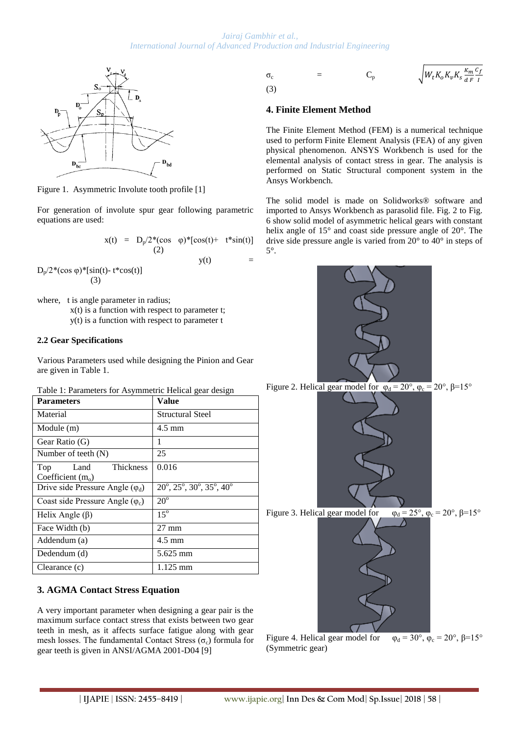

Figure 1. Asymmetric Involute tooth profile [1]

For generation of involute spur gear following parametric equations are used:

$$
x(t) = D_p/2*(\cos \varphi)*[\cos(t) + t* \sin(t)]
$$
  
(2)

 $y(t)$  =

 $D_p/2*(\cos \varphi)*[\sin(t)-t*\cos(t)]$ (3)

where, t is angle parameter in radius; x(t) is a function with respect to parameter t; y(t) is a function with respect to parameter t

#### **2.2 Gear Specifications**

Various Parameters used while designing the Pinion and Gear are given in Table 1.

Table 1: Parameters for Asymmetric Helical gear design

| <b>Parameters</b>                                      | Value                                                        |  |
|--------------------------------------------------------|--------------------------------------------------------------|--|
| Material                                               | Structural Steel                                             |  |
| Module (m)                                             | $4.5 \text{ mm}$                                             |  |
| Gear Ratio (G)                                         | 1                                                            |  |
| Number of teeth $(N)$                                  | 25                                                           |  |
| <b>Thickness</b><br>Land<br>Top<br>Coefficient $(m_0)$ | 0.016                                                        |  |
| Drive side Pressure Angle $(\varphi_d)$                | $20^{\circ}, 25^{\circ}, 30^{\circ}, 35^{\circ}, 40^{\circ}$ |  |
| Coast side Pressure Angle $(\varphi_c)$                | $20^{\circ}$                                                 |  |
| Helix Angle $(\beta)$                                  | $15^\circ$                                                   |  |
| Face Width (b)                                         | $27 \text{ mm}$                                              |  |
| Addendum (a)                                           | $4.5 \text{ mm}$                                             |  |
| Dedendum (d)                                           | 5.625 mm                                                     |  |
| Clearance (c)                                          | 1.125 mm                                                     |  |

# **3. AGMA Contact Stress Equation**

A very important parameter when designing a gear pair is the maximum surface contact stress that exists between two gear teeth in mesh, as it affects surface fatigue along with gear mesh losses. The fundamental Contact Stress ( $\sigma_c$ ) formula for gear teeth is given in ANSI/AGMA 2001-D04 [9]

$$
\sigma_{c} = C_{p} \sqrt{W_{t}K_{o}K_{v}K_{s}\frac{\kappa_{m}C_{f}}{dF}}
$$
\n(3)

### **4. Finite Element Method**

The Finite Element Method (FEM) is a numerical technique used to perform Finite Element Analysis (FEA) of any given physical phenomenon. ANSYS Workbench is used for the elemental analysis of contact stress in gear. The analysis is performed on Static Structural component system in the Ansys Workbench.

The solid model is made on Solidworks® software and imported to Ansys Workbench as parasolid file. Fig. 2 to Fig. 6 show solid model of asymmetric helical gears with constant helix angle of 15° and coast side pressure angle of 20°. The drive side pressure angle is varied from 20° to 40° in steps of 5°.



Figure 2. Helical gear model for  $\phi_d = 20^\circ$ ,  $\phi_c = 20^\circ$ ,  $\beta = 15^\circ$ 





Figure 4. Helical gear model for  $\varphi_d = 30^\circ$ ,  $\varphi_c = 20^\circ$ ,  $\beta = 15^\circ$ (Symmetric gear)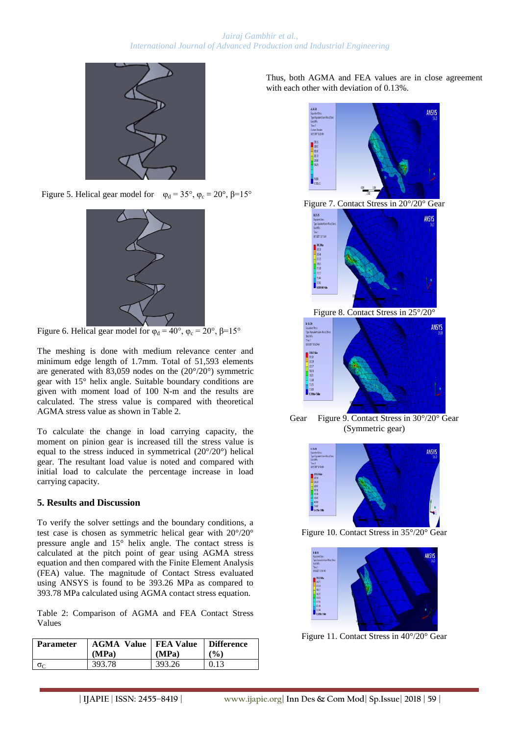

Figure 5. Helical gear model for  $\varphi_d = 35^\circ$ ,  $\varphi_c = 20^\circ$ ,  $\beta = 15^\circ$ 



Figure 6. Helical gear model for  $\varphi_d = 40^\circ$ ,  $\varphi_c = 20^\circ$ ,  $\beta = 15^\circ$ 

The meshing is done with medium relevance center and minimum edge length of 1.7mm. Total of 51,593 elements are generated with 83,059 nodes on the (20°/20°) symmetric gear with 15° helix angle. Suitable boundary conditions are given with moment load of 100 N-m and the results are calculated. The stress value is compared with theoretical AGMA stress value as shown in Table 2.

To calculate the change in load carrying capacity, the moment on pinion gear is increased till the stress value is equal to the stress induced in symmetrical (20°/20°) helical gear. The resultant load value is noted and compared with initial load to calculate the percentage increase in load carrying capacity.

## **5. Results and Discussion**

To verify the solver settings and the boundary conditions, a test case is chosen as symmetric helical gear with 20°/20° pressure angle and 15° helix angle. The contact stress is calculated at the pitch point of gear using AGMA stress equation and then compared with the Finite Element Analysis (FEA) value. The magnitude of Contact Stress evaluated using ANSYS is found to be 393.26 MPa as compared to 393.78 MPa calculated using AGMA contact stress equation.

Table 2: Comparison of AGMA and FEA Contact Stress Values

| <b>Parameter</b> | <b>AGMA Value   FEA Value</b><br>(MPa) | (MPa)  | <b>Difference</b><br>$\mathcal{O}(6)$ |
|------------------|----------------------------------------|--------|---------------------------------------|
| $\sigma_c$       | 393.78                                 | 393.26 | 0.13                                  |

Thus, both AGMA and FEA values are in close agreement with each other with deviation of 0.13%.



Gear Figure 9. Contact Stress in 30°/20° Gear (Symmetric gear)



Figure 10. Contact Stress in 35°/20° Gear



Figure 11. Contact Stress in 40°/20° Gear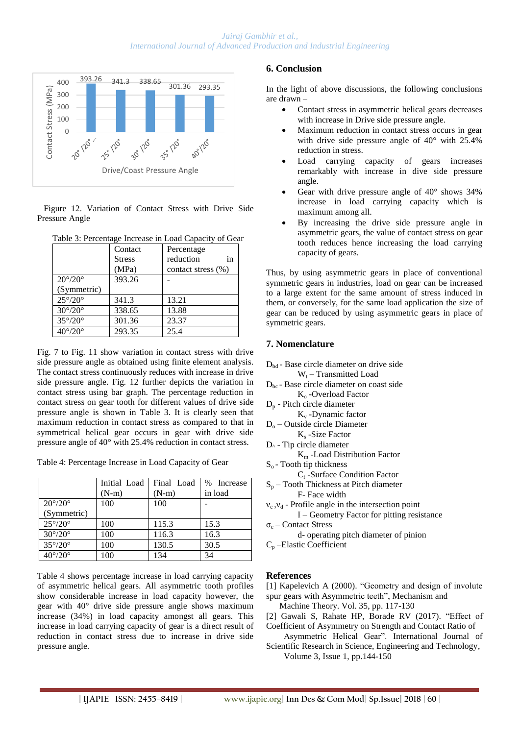

 Figure 12. Variation of Contact Stress with Drive Side Pressure Angle

| Table 3: Percentage Increase in Load Capacity of Gear |  |  |
|-------------------------------------------------------|--|--|
|                                                       |  |  |

|                         | Contact       | Percentage         |  |
|-------------------------|---------------|--------------------|--|
|                         | <b>Stress</b> | in<br>reduction    |  |
|                         | (MPa)         | contact stress (%) |  |
| $20^{\circ}/20^{\circ}$ | 393.26        |                    |  |
| (Symmetric)             |               |                    |  |
| $25^{\circ}/20^{\circ}$ | 341.3         | 13.21              |  |
| $30^{\circ}/20^{\circ}$ | 338.65        | 13.88              |  |
| $35^{\circ}/20^{\circ}$ | 301.36        | 23.37              |  |
| $40^{\circ}/20^{\circ}$ | 293.35        | 25.4               |  |

Fig. 7 to Fig. 11 show variation in contact stress with drive side pressure angle as obtained using finite element analysis. The contact stress continuously reduces with increase in drive side pressure angle. Fig. 12 further depicts the variation in contact stress using bar graph. The percentage reduction in contact stress on gear tooth for different values of drive side pressure angle is shown in Table 3. It is clearly seen that maximum reduction in contact stress as compared to that in symmetrical helical gear occurs in gear with drive side pressure angle of 40° with 25.4% reduction in contact stress.

Table 4: Percentage Increase in Load Capacity of Gear

|                         | Initial Load | Final Load | % Increase |
|-------------------------|--------------|------------|------------|
|                         | $(N-m)$      | $(N-m)$    | in load    |
| $20^{\circ}/20^{\circ}$ | 100          | 100        |            |
| (Symmetric)             |              |            |            |
| $25^{\circ}/20^{\circ}$ | 100          | 115.3      | 15.3       |
| $30^{\circ}/20^{\circ}$ | 100          | 116.3      | 16.3       |
| $35^{\circ}/20^{\circ}$ | 100          | 130.5      | 30.5       |
| $40^{\circ}/20^{\circ}$ | 100          | 134        | 34         |

Table 4 shows percentage increase in load carrying capacity of asymmetric helical gears. All asymmetric tooth profiles show considerable increase in load capacity however, the gear with 40° drive side pressure angle shows maximum increase (34%) in load capacity amongst all gears. This increase in load carrying capacity of gear is a direct result of reduction in contact stress due to increase in drive side pressure angle.

## **6. Conclusion**

In the light of above discussions, the following conclusions are drawn –

- Contact stress in asymmetric helical gears decreases with increase in Drive side pressure angle.
- Maximum reduction in contact stress occurs in gear with drive side pressure angle of 40° with 25.4% reduction in stress.
- Load carrying capacity of gears increases remarkably with increase in dive side pressure angle.
- Gear with drive pressure angle of 40° shows 34% increase in load carrying capacity which is maximum among all.
- By increasing the drive side pressure angle in asymmetric gears, the value of contact stress on gear tooth reduces hence increasing the load carrying capacity of gears.

Thus, by using asymmetric gears in place of conventional symmetric gears in industries, load on gear can be increased to a large extent for the same amount of stress induced in them, or conversely, for the same load application the size of gear can be reduced by using asymmetric gears in place of symmetric gears.

### **7. Nomenclature**

 $D_{\text{bd}}$  - Base circle diameter on drive side

- $W_t$  Transmitted Load
- $D_{bc}$  Base circle diameter on coast side  $K<sub>o</sub>$  -Overload Factor
- D<sup>p</sup> Pitch circle diameter
- $K_v$  -Dynamic factor
- $D<sub>o</sub>$  Outside circle Diameter K<sub>s</sub> -Size Factor
- $D^{\wedge}$  Tip circle diameter
	- K<sup>m</sup> -Load Distribution Factor
- $S<sub>o</sub>$  Tooth tip thickness
- C<sup>f</sup> -Surface Condition Factor
- $S_n$  Tooth Thickness at Pitch diameter F- Face width
- $v_c$ ,  $v_d$  Profile angle in the intersection point I – Geometry Factor for pitting resistance
- σ<sub>c</sub> Contact Stress

d- operating pitch diameter of pinion

C<sup>p</sup> –Elastic Coefficient

#### **References**

[1] Kapelevich A (2000). "Geometry and design of involute spur gears with Asymmetric teeth", Mechanism and

Machine Theory. Vol. 35, pp. 117-130

[2] Gawali S, Rahate HP, Borade RV (2017). "Effect of Coefficient of Asymmetry on Strength and Contact Ratio of

 Asymmetric Helical Gear". International Journal of Scientific Research in Science, Engineering and Technology,

Volume 3, Issue 1, pp.144-150